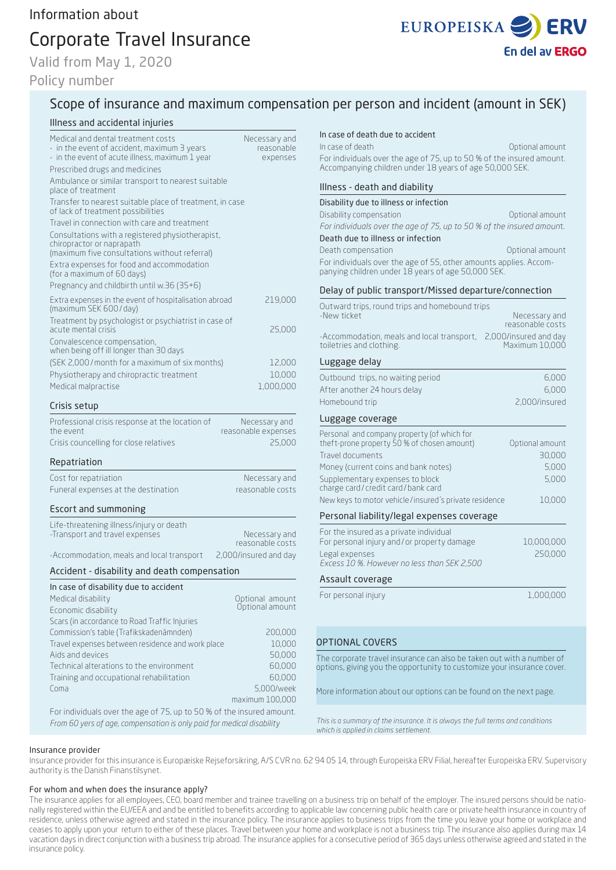# Corporate Travel Insurance

Valid from May 1, 2020

## Policy number



## Scope of insurance and maximum compensation per person and incident (amount in SEK)

## Illness and accidental injuries

| Medical and dental treatment costs<br>- in the event of accident, maximum 3 years<br>- in the event of acute illness, maximum 1 year<br>Prescribed drugs and medicines<br>Ambulance or similar transport to nearest suitable<br>place of treatment<br>Transfer to nearest suitable place of treatment, in case<br>of lack of treatment possibilities<br>Travel in connection with care and treatment<br>Consultations with a registered physiotherapist,<br>chiropractor or naprapath | Necessary and<br>reasonable<br>expenses                                          |
|---------------------------------------------------------------------------------------------------------------------------------------------------------------------------------------------------------------------------------------------------------------------------------------------------------------------------------------------------------------------------------------------------------------------------------------------------------------------------------------|----------------------------------------------------------------------------------|
|                                                                                                                                                                                                                                                                                                                                                                                                                                                                                       |                                                                                  |
|                                                                                                                                                                                                                                                                                                                                                                                                                                                                                       |                                                                                  |
|                                                                                                                                                                                                                                                                                                                                                                                                                                                                                       |                                                                                  |
|                                                                                                                                                                                                                                                                                                                                                                                                                                                                                       |                                                                                  |
|                                                                                                                                                                                                                                                                                                                                                                                                                                                                                       |                                                                                  |
| (maximum five consultations without referral)                                                                                                                                                                                                                                                                                                                                                                                                                                         |                                                                                  |
| Extra expenses for food and accommodation<br>(for a maximum of 60 days)                                                                                                                                                                                                                                                                                                                                                                                                               |                                                                                  |
| Pregnancy and childbirth until w.36 (35+6)                                                                                                                                                                                                                                                                                                                                                                                                                                            |                                                                                  |
| Extra expenses in the event of hospitalisation abroad<br>(maximum SEK 600/day)                                                                                                                                                                                                                                                                                                                                                                                                        | 219,000                                                                          |
| Treatment by psychologist or psychiatrist in case of<br>acute mental crisis                                                                                                                                                                                                                                                                                                                                                                                                           | 25,000                                                                           |
| Convalescence compensation,<br>when being off ill longer than 30 days                                                                                                                                                                                                                                                                                                                                                                                                                 |                                                                                  |
| (SEK 2,000/month for a maximum of six months)                                                                                                                                                                                                                                                                                                                                                                                                                                         | 12,000                                                                           |
| Physiotherapy and chiropractic treatment                                                                                                                                                                                                                                                                                                                                                                                                                                              | 10,000                                                                           |
| Medical malpractise                                                                                                                                                                                                                                                                                                                                                                                                                                                                   | 1,000,000                                                                        |
| Crisis setup                                                                                                                                                                                                                                                                                                                                                                                                                                                                          |                                                                                  |
| Professional crisis response at the location of<br>the event                                                                                                                                                                                                                                                                                                                                                                                                                          | Necessary and<br>reasonable expenses                                             |
| Crisis councelling for close relatives                                                                                                                                                                                                                                                                                                                                                                                                                                                | 25,000                                                                           |
| Repatriation                                                                                                                                                                                                                                                                                                                                                                                                                                                                          |                                                                                  |
| Cost for repatriation                                                                                                                                                                                                                                                                                                                                                                                                                                                                 | Necessary and                                                                    |
|                                                                                                                                                                                                                                                                                                                                                                                                                                                                                       |                                                                                  |
| Funeral expenses at the destination                                                                                                                                                                                                                                                                                                                                                                                                                                                   | reasonable costs                                                                 |
| Escort and summoning                                                                                                                                                                                                                                                                                                                                                                                                                                                                  |                                                                                  |
| Life-threatening illness/injury or death<br>-Transport and travel expenses                                                                                                                                                                                                                                                                                                                                                                                                            | Necessary and                                                                    |
|                                                                                                                                                                                                                                                                                                                                                                                                                                                                                       | reasonable costs                                                                 |
| -Accommodation, meals and local transport                                                                                                                                                                                                                                                                                                                                                                                                                                             | 2,000/insured and day                                                            |
| Accident - disability and death compensation                                                                                                                                                                                                                                                                                                                                                                                                                                          |                                                                                  |
| In case of disability due to accident                                                                                                                                                                                                                                                                                                                                                                                                                                                 |                                                                                  |
| Medical disability                                                                                                                                                                                                                                                                                                                                                                                                                                                                    | Optional amount<br>Optional amount                                               |
| Economic disability                                                                                                                                                                                                                                                                                                                                                                                                                                                                   |                                                                                  |
| Scars (in accordance to Road Traffic Injuries                                                                                                                                                                                                                                                                                                                                                                                                                                         |                                                                                  |
| Commission's table (Trafikskadenämnden)<br>Travel expenses between residence and work place                                                                                                                                                                                                                                                                                                                                                                                           |                                                                                  |
| Aids and devices                                                                                                                                                                                                                                                                                                                                                                                                                                                                      |                                                                                  |
| Technical alterations to the environment                                                                                                                                                                                                                                                                                                                                                                                                                                              |                                                                                  |
| Training and occupational rehabilitation                                                                                                                                                                                                                                                                                                                                                                                                                                              |                                                                                  |
| Coma                                                                                                                                                                                                                                                                                                                                                                                                                                                                                  |                                                                                  |
| For individuals over the age of 75, up to 50 % of the insured amount.                                                                                                                                                                                                                                                                                                                                                                                                                 | 200,000<br>10,000<br>50,000<br>60,000<br>60,000<br>5,000/week<br>maximum 100,000 |
|                                                                                                                                                                                                                                                                                                                                                                                                                                                                                       |                                                                                  |

*From 60 yers of age, compensation is only paid for medical disability*

## In case of death due to accident

In case of death Optional amount For individuals over the age of 75, up to 50 % of the insured amount. Accompanying children under 18 years of age 50,000 SEK.

#### Illness - death and diability

#### Disability due to illness or infection

Disability compensation **Disability** compensation *For individuals over the age of 75, up to 50 % of the insured amoun*t.

Death due to illness or infection

Death compensation and a compensation of the Contract of Contract amount

For individuals over the age of 55, other amounts applies. Accompanying children under 18 years of age 50,000 SEK.

### Delay of public transport/Missed departure/connection

| Outward trips, round trips and homebound trips<br>-New ticket          | Necessary and                           |  |
|------------------------------------------------------------------------|-----------------------------------------|--|
|                                                                        | reasonable costs                        |  |
| -Accommodation, meals and local transport,<br>toiletries and clothing. | 2,000/insured and day<br>Maximum 10,000 |  |
| Luggage delay                                                          |                                         |  |
| Outbound trips, no waiting period                                      | 6,000                                   |  |
| After another 24 hours delay                                           | 6,000                                   |  |
| Homebound trip                                                         | 2,000/insured                           |  |
| Luggage coverage                                                       |                                         |  |
| Personal and company property (of which for                            |                                         |  |
| theft-prone property 50 % of chosen amount)                            | Optional amount                         |  |
| Travel documents                                                       | 30,000                                  |  |
| Money (current coins and bank notes)                                   | 5,000<br>5,000                          |  |
| Supplementary expenses to block<br>charge card/credit card/bank card   |                                         |  |
| New keys to motor vehicle/insured's private residence                  | 10,000                                  |  |
| Personal liability/legal expenses coverage                             |                                         |  |
| For the insured as a private individual                                |                                         |  |
| For personal injury and/or property damage                             | 10,000,000                              |  |
| Legal expenses<br>Excess 10 %. However no less than SEK 2,500          | 250,000                                 |  |
| Assault coverage                                                       |                                         |  |
| For personal injury                                                    | 1,000,000                               |  |
|                                                                        |                                         |  |
|                                                                        |                                         |  |

## OPTIONAL COVERS

The corporate travel insurance can also be taken out with a number of options, giving you the opportunity to customize your insurance cover.

More information about our options can be found on the next page.

*This is a summary of the insurance. It is always the full terms and conditions which is applied in claims settlement.*

#### Insurance provider

Insurance provider for this insurance is Europæiske Rejseforsikring, A/S CVR no. 62 94 05 14, through Europeiska ERV Filial, hereafter Europeiska ERV. Supervisory authority is the Danish Finanstilsynet.

#### For whom and when does the insurance apply?

The insurance applies for all employees, CEO, board member and trainee travelling on a business trip on behalf of the employer. The insured persons should be nationally registered within the EU/EEA and and be entitled to benefits according to applicable law concerning public health care or private health insurance in country of residence, unless otherwise agreed and stated in the insurance policy. The insurance applies to business trips from the time you leave your home or workplace and ceases to apply upon your return to either of these places. Travel between your home and workplace is not a business trip. The insurance also applies during max 14 vacation days in direct conjunction with a business trip abroad. The insurance applies for a consecutive period of 365 days unless otherwise agreed and stated in the insurance policy.